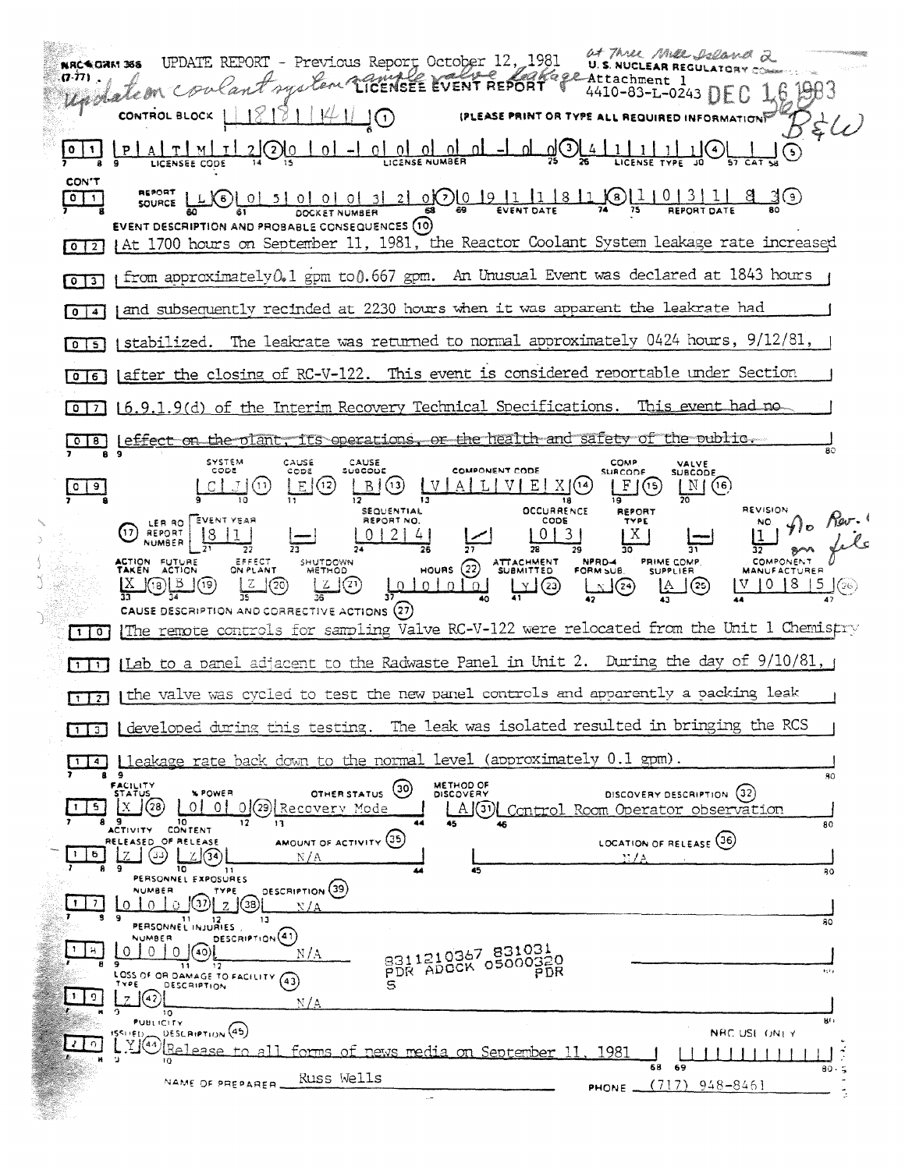at Three Mill Island 2 UPDATE REPORT - Previous Report October 12, 1981 NRCNORM 365 Eage Attachment 1 ant system CICENSEE EVENT REPORT .A.77) . 4410-83-L-0243 DEC 16 BB3 Wadalem 71  $||\psi||$ CONTROL BLOCK JO) (PLEASE PRINT OR TYPE ALL REQUIRED INFORMATION)  $\zeta(\omega)$ <u>ি Listense bord of a clience of an and digital title of</u>  $\odot$ ना LICENSEE CODE CON'T LXO 01 51 01 01 01 31 21 0 0 0 9 12 1 1 1 8 1 1 1 8 1 1 1 1 1 1 2 1 1  $\sqrt{2}$ 3७  $\frac{1}{20}$ DOCKET NUMBER EVENT DESCRIPTION AND PROBABLE CONSEQUENCES (10) [0] 2] | At 1700 hours on September 11, 1981, the Reactor Coolant System leakage rate increased [0]31 | from approximately 0.1 gpm to 0.667 gpm. An Unusual Event was declared at 1843 hours (and subsequently recinded at 2230 hours when it was apparent the leakrate had  $\sqrt{0}$   $\sqrt{4}$ I stabilized. The leakrate was returned to normal approximately 0424 hours, 9/12/81  $0151$ [0] [after the closing of RC-V-122. This event is considered reportable under Section [0]7] [6.9.1.9(d) of the Interim Recovery Technical Specifications. This event had no [0] B | Leffect on the olant, its operations, or the health and safety of the public. SYSTEM<br>CODE CAUSE CAUSE COMP VALVE<br>SUBCODE  $\frac{1}{2000}$ suscope COMPONENT CODE **SURCODE**  $B(3)$  $C[J(0)]$  $E(12)$  $[V|A|L|V|E|X](4)$ </u>  $LI(5)$  $\lfloor N \rfloor (16)$  $\lceil 0 \rceil 9 \rceil$  $\overline{13}$ 18 ۱ğ **REVISION** SEQUENTIAL **OCCURRENCE** LER RO EVENT YEAR  $n_1$  (f)  $\theta$ REPORT NO. CODE TYPE  $012141$  $|0|3|$  $X<sub>1</sub>$  $\frac{1}{31}$ **NUMBER**  $\overline{27}$  $78$ 79 HOURS 22 ATTACHMENT COMPONENT EFFECT<br>ON PLANT SHUTDOWN<br>METHOD NPRD-4<br>FORM SUB. **PRIME COMP.**<br>SUPPLIER ACTION FUTURE<br>TAKEN ACTION  $LI$  $V$  10 18 15  $\odot$  $\frac{Z}{35}$  $\mathop{\hbox{Im}}_{\Omega}$  $\sqrt{29}$  $\underline{\mathbf{X}}$  (0)  $\underline{\mathbf{B}}$  (0)  $\frac{1}{2}$ <u>ololo</u> பூர CAUSE DESCRIPTION AND CORRECTIVE ACTIONS (27) [1] The remote controls for sampling Valve RC-V-122 were relocated from the Unit 1 Chemistry [1] [Lab to a panel adjacent to the Radwaste Panel in Unit 2. During the day of 9/10/81, a 1121 [the valve was cycled to test the new panel controls and apparently a packing leak [1] [developed during this testing. The leak was isolated resulted in bringing the RCS [14] Lleakage rate back down to the normal level (approximately 0.1 gpm). 80 FACILITY<br>STATUS METHOD OF OTHER STATUS (30) **SPOWER** DISCOVERY DESCRIPTION (32)  $\sqrt{28}$ 0 0 0 0 2 Recovery Mode  $15$ A J U Control Room Operator observation **9** 10  $\overline{\mathbf{12}}$  $13$  $80$ AMOUNT OF ACTIVITY (35) LOCATION OF RELEASE (36) RELEASED OF RELEASE <u> ၂ ကျွန်လျှော်</u>  $\lfloor 1 \rfloor 6$  $N/A$ PERSONNEL EXPOSURES 80 **DESCRIPTION** (39) NUMBER TYPE  $\lfloor 1 \rfloor$  7  $\Omega$ **PERSONNEL INJURIES**  $\overline{30}$ NUMBER DESCRIPTION (1)  $\sqrt{1+1}$ 8311210367 831031<br>PDR ADOCK 05000320  $N/A$ LOSS OF OR DAMAGE TO FACILITY (43) ¥d.  $\mathfrak{S}$  $\mathbb{Z}$  (42)  $\mathbb{E} \setminus \mathbb{C}$  $N/A$  $\overline{10}$ **PUBLICITY** мt, ISSUED DESCRIPTION (45) NRC USE ONLY  $\mathbf{Z}$  of all forms of news media on September 11. 1981 58 69 80 Russ Wells NAME OF PREPARER  $(717)$  948-8461 PHONE\_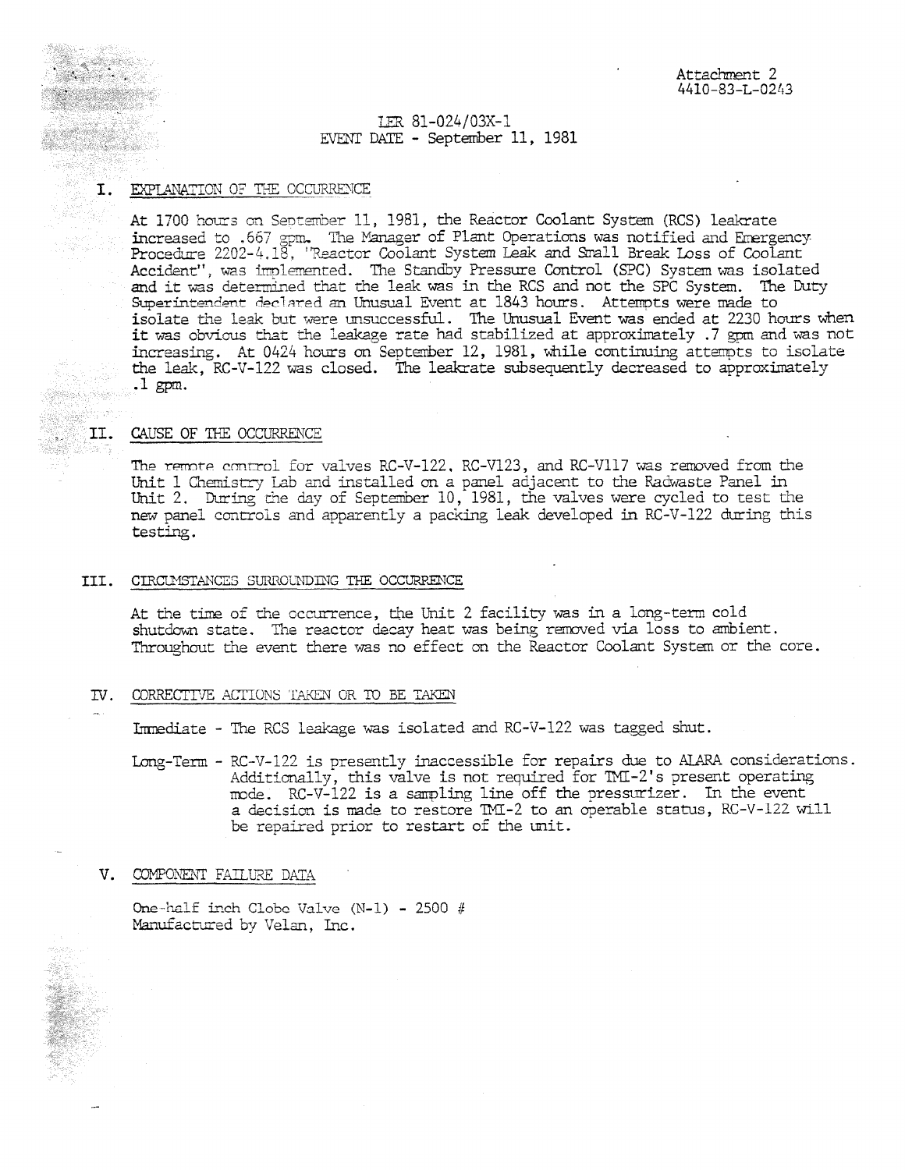# LER 81-024/03X-1 EVENT DATE - September 11, 1981

# **I. EXPLANATION OF THE OCCURRENCE**

**Resident Construction** 

èkosy

At 1700 hours on September 11, 1981, the Reactor Coolant System (RCS) leakrate increased to .667 gpm, The Manager of Plant Operations was notified and Emergency Procedure 2202-4.18, 'Reactor Coolant System Leak and Small Break Loss of Coolant Accident", was implemented. The Standby Pressure Control (SPC) System was isolated and it was determined that the leak was in the RCS and not the SPC System. The Duty Superintendent declared an Unusual Event at 1843 hours. Attempts were made to isolate the leak but were unsuccessful. The Unusual Event was ended at 2230 hours when it was obvious that the leakage rate had stabilized at approximately .7 gpm and was not increasing. At 0424 hours an Septmeber 12, 1981, While continuing attempts to isolate the leak, RC-V-122 was closed. The leakrate subsequently decreased to approximately .1 gpm.

## II. CAUSE OF THE OCCURRENCE

The remote control for valves RC-V-122, RC-V123, and RC-V117 was removed from the Unit 1 Chemistry Lab and installed on a panel adjacent to the Radwaste Panel in Unit 2. During the day of September 10, 1981, the valves were cycled to test the new panel controls and apparently a packing leak developed in RC-V-122 during this testing.

#### III. CIRCUMSTANCES SURROUNDING THE OCCURRENCE

At the time of the occurrence, the Unit 2 facility was in a long-term cold shutdown state. The reactor decay heat was being removed via loss to ambient. Throughout the event there was no effect an the Reactor Coolant System or the core.

## TV. CORRECTIVE ACTIONS TAKEN OR TO BE TAKEN

Immediate - The RCS leakage was isolated and RC-V-122 was tagged shut.

Long-Term - RC-V-122 is presently inaccessible for repairs due to ALARA considerations. Additionally, this valve is not required for TMI-2's present operating mode. RC-V-122 is a sampling line off the pressurizer. In the event a decision is made to restore TMI-2 to an operable status, RC-V-122 wlil be repaired prior to restart of the unit.

## V. COMPONENT FAILURE DATA

\_

One -half inch Clobc Valve (1\1-1) - 2500 *#* Manufactured by Velan, Inc.